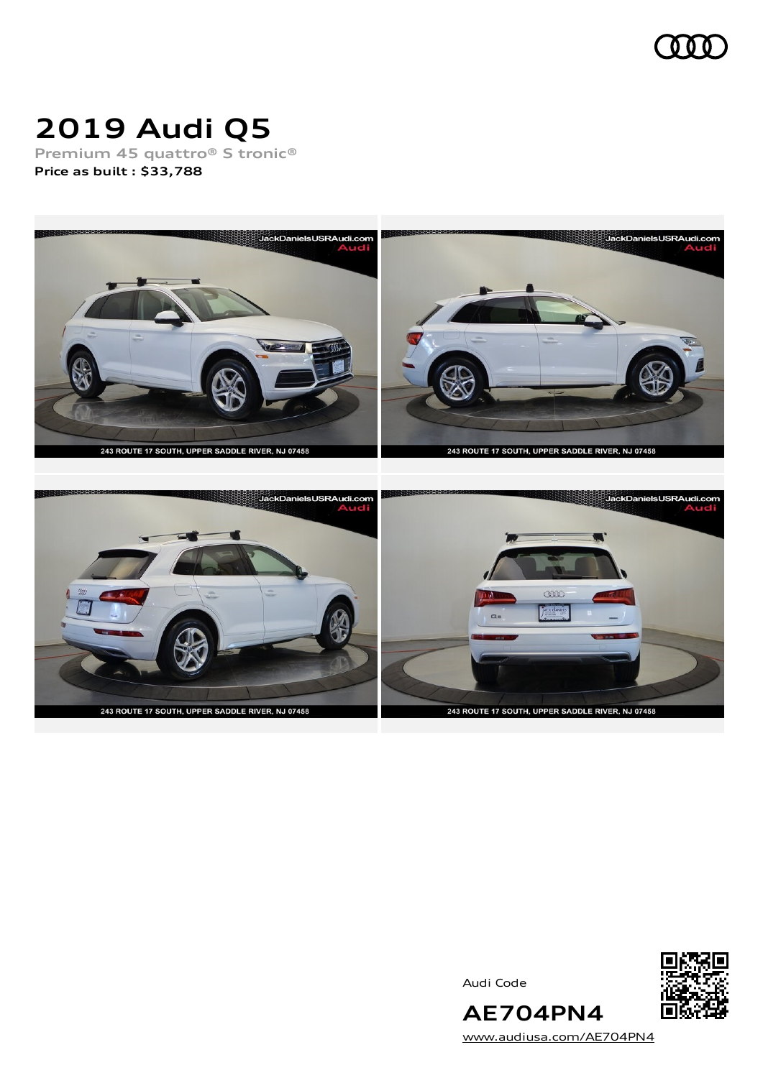

# **2019 Audi Q5**

**Premium 45 quattro® S tronic® Price as built [:](#page-10-0) \$33,788**





Audi Code



[www.audiusa.com/AE704PN4](https://www.audiusa.com/AE704PN4)

**AE704PN4**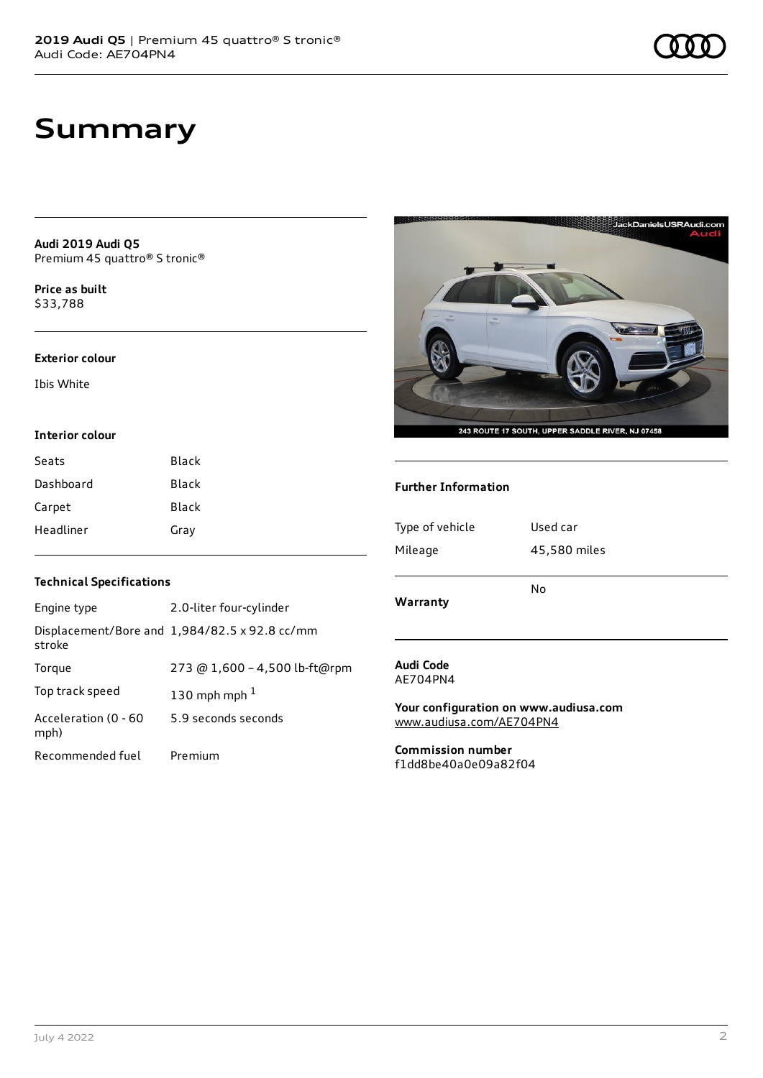**Audi 2019 Audi Q5** Premium 45 quattro® S tronic®

**Price as buil[t](#page-10-0)** \$33,788

#### **Exterior colour**

Ibis White

### **Interior colour**

| Seats     | Black |
|-----------|-------|
| Dashboard | Black |
| Carpet    | Black |
| Headliner | Gray  |



**Further Information**

| Type of vehicle | Used car     |  |
|-----------------|--------------|--|
| Mileage         | 45,580 miles |  |
|                 |              |  |
| Warranty        | No           |  |
|                 |              |  |
|                 |              |  |
| Audi Code       |              |  |

AE704PN4

**Your configuration on www.audiusa.com** [www.audiusa.com/AE704PN4](https://www.audiusa.com/AE704PN4)

**Commission number** f1dd8be40a0e09a82f04

## **Technical Specifications**

| Engine type                  | 2.0-liter four-cylinder                       |
|------------------------------|-----------------------------------------------|
| stroke                       | Displacement/Bore and 1,984/82.5 x 92.8 cc/mm |
| Torque                       | 273 @ 1,600 - 4,500 lb-ft@rpm                 |
| Top track speed              | 130 mph mph $1$                               |
| Acceleration (0 - 60<br>mph) | 5.9 seconds seconds                           |
| Recommended fuel             | Premium                                       |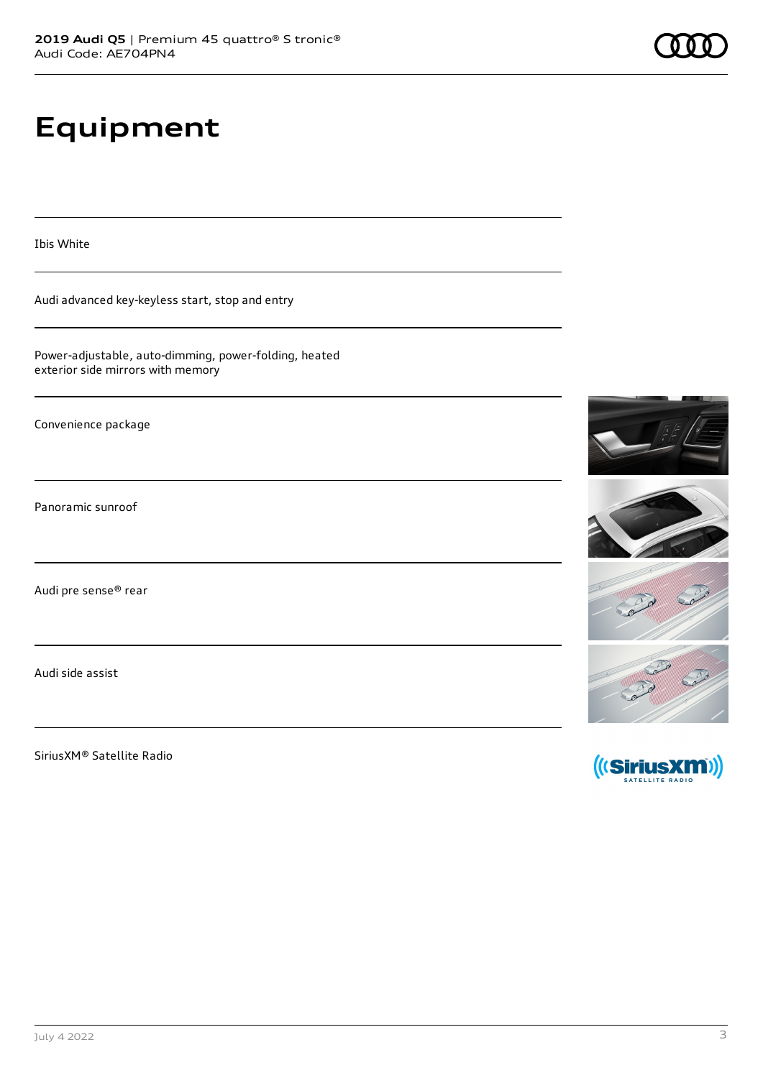# **Equipment**

Ibis White

Audi advanced key-keyless start, stop and entry

Power-adjustable, auto-dimming, power-folding, heated exterior side mirrors with memory

Convenience package

Panoramic sunroof

Audi pre sense® rear

Audi side assist

SiriusXM® Satellite Radio

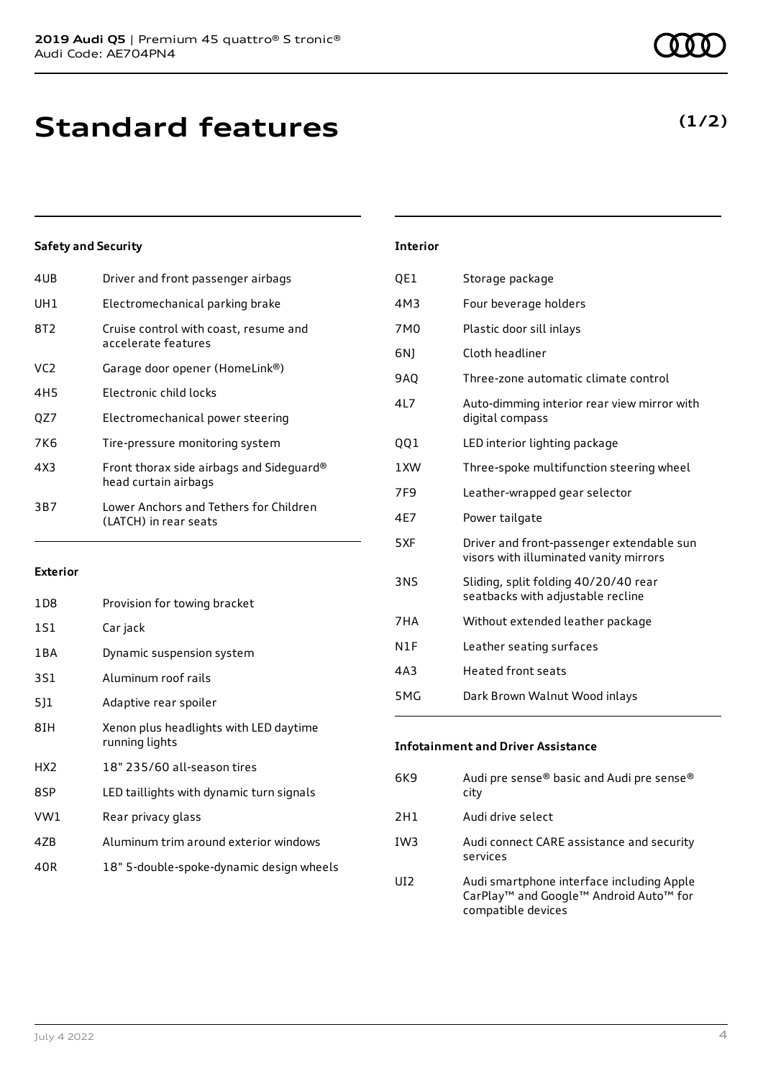| 4UB | Driver and front passenger airbags                               |
|-----|------------------------------------------------------------------|
| UH1 | Electromechanical parking brake                                  |
| 8T2 | Cruise control with coast, resume and<br>accelerate features     |
| VC2 | Garage door opener (HomeLink®)                                   |
| 4H5 | Electronic child locks                                           |
| OZ7 | Electromechanical power steering                                 |
| 7K6 | Tire-pressure monitoring system                                  |
| 4X3 | Front thorax side airbags and Sideguard®<br>head curtain airbags |
| 3B7 | Lower Anchors and Tethers for Children<br>(LATCH) in rear seats  |
|     |                                                                  |

### **Exterior**

| 1D8             | Provision for towing bracket                             |
|-----------------|----------------------------------------------------------|
| 1S1             | Car jack                                                 |
| 1 B A           | Dynamic suspension system                                |
| 3S1             | Aluminum roof rails                                      |
| 5]1             | Adaptive rear spoiler                                    |
| 8IH             | Xenon plus headlights with LED daytime<br>running lights |
| HX <sub>2</sub> | 18" 235/60 all-season tires                              |
| 8SP             | LED taillights with dynamic turn signals                 |
| VW1             | Rear privacy glass                                       |
| 4ZB             | Aluminum trim around exterior windows                    |
| 40R             | 18" 5-double-spoke-dynamic design wheels                 |

| <b>Interior</b> |                                                                                     |
|-----------------|-------------------------------------------------------------------------------------|
| QE1             | Storage package                                                                     |
| 4M3             | Four beverage holders                                                               |
| 7M <sub>0</sub> | Plastic door sill inlays                                                            |
| 6N)             | Cloth headliner                                                                     |
| 9AQ             | Three-zone automatic climate control                                                |
| 4L7             | Auto-dimming interior rear view mirror with<br>digital compass                      |
| 001             | LED interior lighting package                                                       |
| 1 XW            | Three-spoke multifunction steering wheel                                            |
| 7F <sub>9</sub> | Leather-wrapped gear selector                                                       |
| 4E7             | Power tailgate                                                                      |
| 5XF             | Driver and front-passenger extendable sun<br>visors with illuminated vanity mirrors |
| 3NS             | Sliding, split folding 40/20/40 rear<br>seatbacks with adjustable recline           |
| 7HA             | Without extended leather package                                                    |
| N1F             | Leather seating surfaces                                                            |
| 4A3             | Heated front seats                                                                  |
|                 |                                                                                     |

5MG Dark Brown Walnut Wood inlays

| 6K9             | Audi pre sense® basic and Audi pre sense®<br>city                                                                                             |
|-----------------|-----------------------------------------------------------------------------------------------------------------------------------------------|
| 2H1             | Audi drive select                                                                                                                             |
| IW <sub>3</sub> | Audi connect CARE assistance and security<br>services                                                                                         |
| UI2             | Audi smartphone interface including Apple<br>CarPlay <sup>™</sup> and Google <sup>™</sup> Android Auto <sup>™</sup> for<br>compatible devices |

## **(1/2)**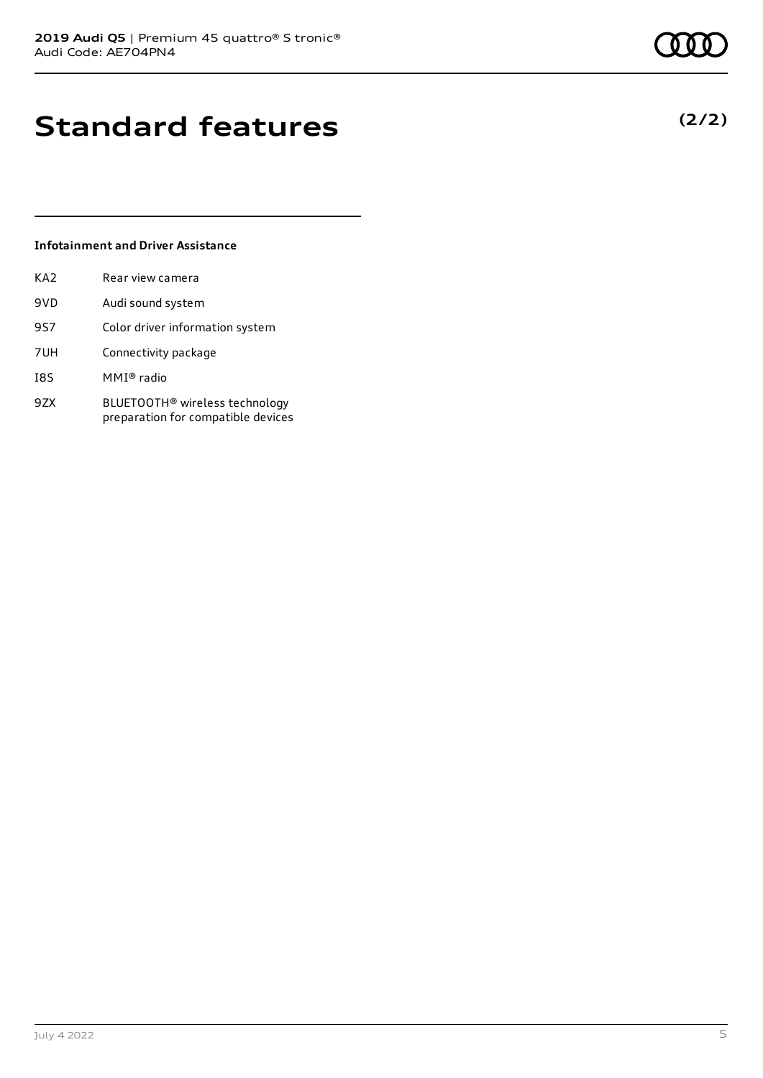# **Standard features**

## **Infotainment and Driver Assistance**

| KA2 | Rear view camera                                                                 |
|-----|----------------------------------------------------------------------------------|
| 9VD | Audi sound system                                                                |
| 9S7 | Color driver information system                                                  |
| 7UH | Connectivity package                                                             |
| I8S | MMI® radio                                                                       |
| 9ZX | BLUETOOTH <sup>®</sup> wireless technology<br>preparation for compatible devices |

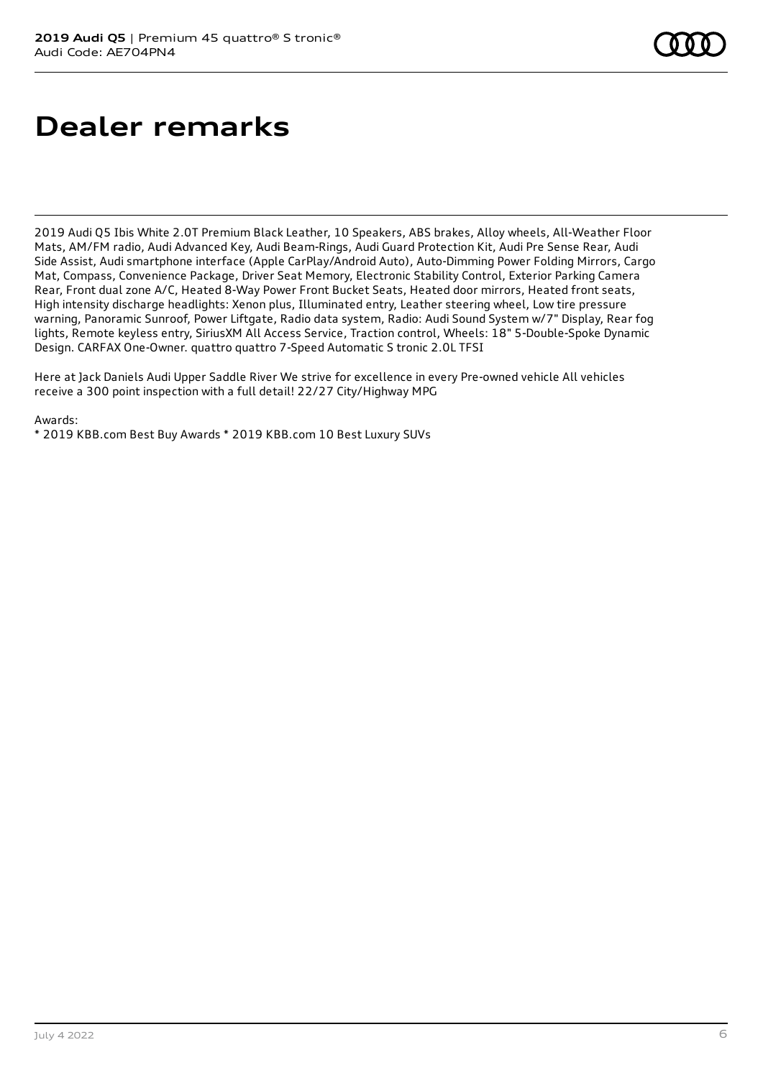# **Dealer remarks**

2019 Audi Q5 Ibis White 2.0T Premium Black Leather, 10 Speakers, ABS brakes, Alloy wheels, All-Weather Floor Mats, AM/FM radio, Audi Advanced Key, Audi Beam-Rings, Audi Guard Protection Kit, Audi Pre Sense Rear, Audi Side Assist, Audi smartphone interface (Apple CarPlay/Android Auto), Auto-Dimming Power Folding Mirrors, Cargo Mat, Compass, Convenience Package, Driver Seat Memory, Electronic Stability Control, Exterior Parking Camera Rear, Front dual zone A/C, Heated 8-Way Power Front Bucket Seats, Heated door mirrors, Heated front seats, High intensity discharge headlights: Xenon plus, Illuminated entry, Leather steering wheel, Low tire pressure warning, Panoramic Sunroof, Power Liftgate, Radio data system, Radio: Audi Sound System w/7" Display, Rear fog lights, Remote keyless entry, SiriusXM All Access Service, Traction control, Wheels: 18" 5-Double-Spoke Dynamic Design. CARFAX One-Owner. quattro quattro 7-Speed Automatic S tronic 2.0L TFSI

Here at Jack Daniels Audi Upper Saddle River We strive for excellence in every Pre-owned vehicle All vehicles receive a 300 point inspection with a full detail! 22/27 City/Highway MPG

Awards:

\* 2019 KBB.com Best Buy Awards \* 2019 KBB.com 10 Best Luxury SUVs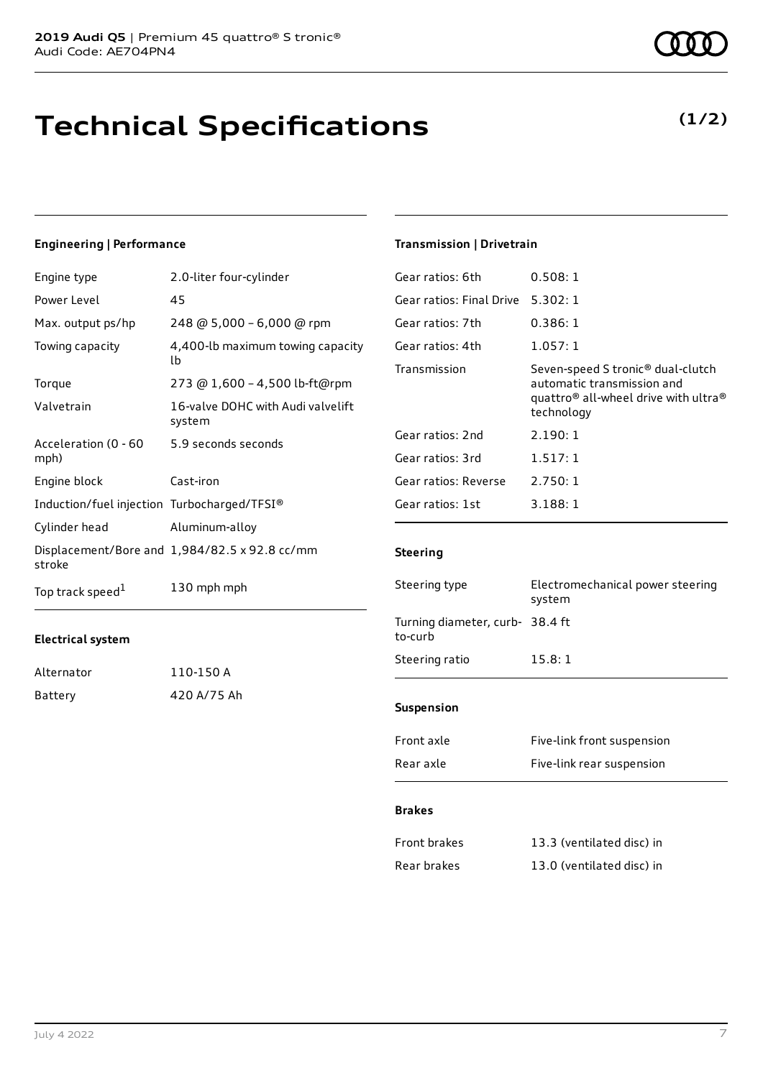# **Technical Specifications**

### **Engineering | Performance**

| Engine type                                 | 2.0-liter four-cylinder                       |
|---------------------------------------------|-----------------------------------------------|
| Power Level                                 | 45                                            |
| Max. output ps/hp                           | 248 @ 5,000 - 6,000 @ rpm                     |
| Towing capacity                             | 4,400-lb maximum towing capacity<br>lb        |
| Torque                                      | 273 @ 1,600 - 4,500 lb-ft@rpm                 |
| Valvetrain                                  | 16-valve DOHC with Audi valvelift<br>system   |
| Acceleration (0 - 60<br>mph)                | 5.9 seconds seconds                           |
| Engine block                                | Cast-iron                                     |
| Induction/fuel injection Turbocharged/TFSI® |                                               |
| Cylinder head                               | Aluminum-alloy                                |
| stroke                                      | Displacement/Bore and 1,984/82.5 x 92.8 cc/mm |
| Top track speed <sup>1</sup>                | 130 mph mph                                   |

### **Electrical system**

| Alternator | 110-150 A   |
|------------|-------------|
| Battery    | 420 A/75 Ah |

#### July 4 2022 7

## **Transmission | Drivetrain**

| Gear ratios: 6th         | 0.508:1                                                                                                                                                   |
|--------------------------|-----------------------------------------------------------------------------------------------------------------------------------------------------------|
| Gear ratios: Final Drive | 5.302:1                                                                                                                                                   |
| Gear ratios: 7th         | 0.386:1                                                                                                                                                   |
| Gear ratios: 4th         | 1.057:1                                                                                                                                                   |
| Transmission             | Seven-speed S tronic <sup>®</sup> dual-clutch<br>automatic transmission and<br>quattro <sup>®</sup> all-wheel drive with ultra <sup>®</sup><br>technology |
| Gear ratios: 2nd         | 2.190:1                                                                                                                                                   |
| Gear ratios: 3rd         | 1.517:1                                                                                                                                                   |
| Gear ratios: Reverse     | 2.750:1                                                                                                                                                   |
| Gear ratios: 1st         | 3.188:1                                                                                                                                                   |
|                          |                                                                                                                                                           |

### **Steering**

| Steering type                              | Electromechanical power steering<br>system |
|--------------------------------------------|--------------------------------------------|
| Turning diameter, curb- 38.4 ft<br>to-curb |                                            |
| Steering ratio                             | 15.8:1                                     |
|                                            |                                            |
| <b>Suspension</b>                          |                                            |
| Front axle                                 | Five-link front suspension                 |
| Rear axle                                  | Five-link rear suspension                  |

### **Brakes**

| Front brakes | 13.3 (ventilated disc) in |
|--------------|---------------------------|
| Rear brakes  | 13.0 (ventilated disc) in |



## **(1/2)**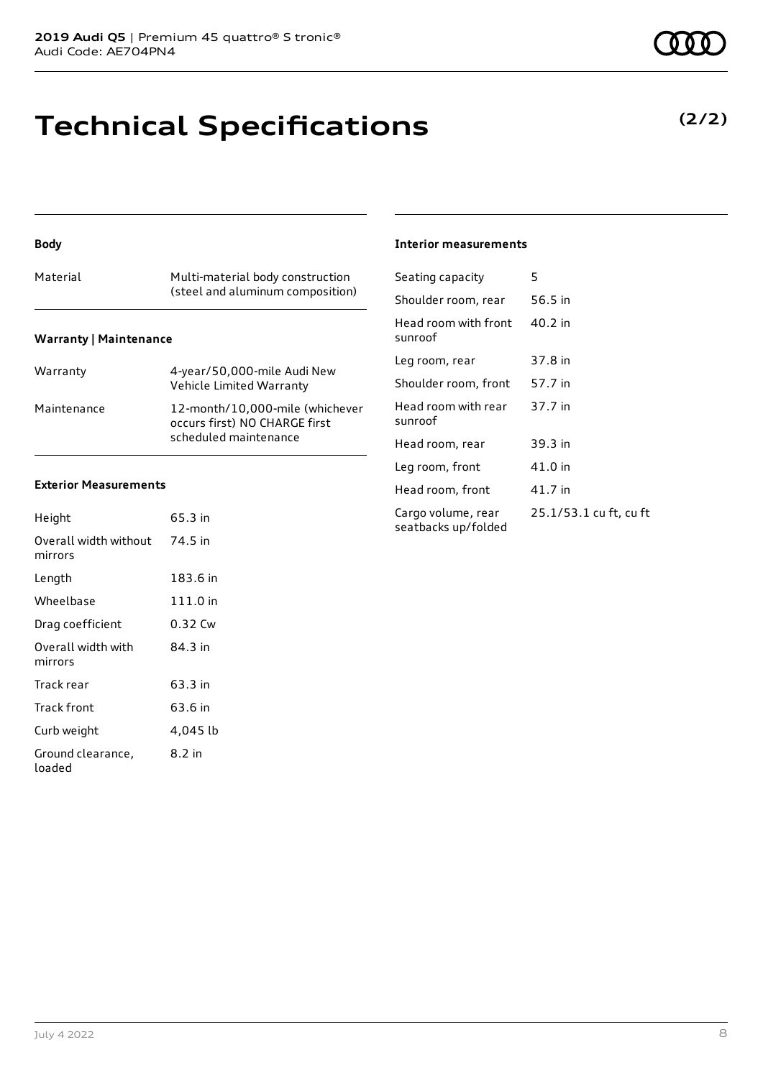# **Technical Specifications**

### **Body**

| Material                      | Multi-material body construction<br>(steel and aluminum composition) |
|-------------------------------|----------------------------------------------------------------------|
| <b>Warranty   Maintenance</b> |                                                                      |

| Warranty    | 4-year/50,000-mile Audi New<br>Vehicle Limited Warranty                                   |
|-------------|-------------------------------------------------------------------------------------------|
| Maintenance | 12-month/10,000-mile (whichever<br>occurs first) NO CHARGE first<br>scheduled maintenance |

### **Exterior Measurements**

| Height                           | 65.3 in  |
|----------------------------------|----------|
| Overall width without<br>mirrors | 74.5 in  |
| Length                           | 183.6 in |
| Wheelbase                        | 111.0 in |
| Drag coefficient                 | 0.32 Cw  |
| Overall width with<br>mirrors    | 84.3 in  |
| Track rear                       | 63.3 in  |
| Track front                      | 63.6 in  |
| Curb weight                      | 4,045 lb |
| Ground clearance,<br>loaded      | 8.2 in   |

### **Interior measurements**

| Seating capacity                          | 5                      |
|-------------------------------------------|------------------------|
| Shoulder room, rear                       | 56.5 in                |
| Head room with front<br>sunroof           | 40.2 in                |
| Leg room, rear                            | 37.8 in                |
| Shoulder room, front                      | 57.7 in                |
| Head room with rear<br>sunroof            | 37.7 in                |
| Head room, rear                           | 39.3 in                |
| Leg room, front                           | 41.0 in                |
| Head room, front                          | 41.7 in                |
| Cargo volume, rear<br>seatbacks up/folded | 25.1/53.1 cu ft, cu ft |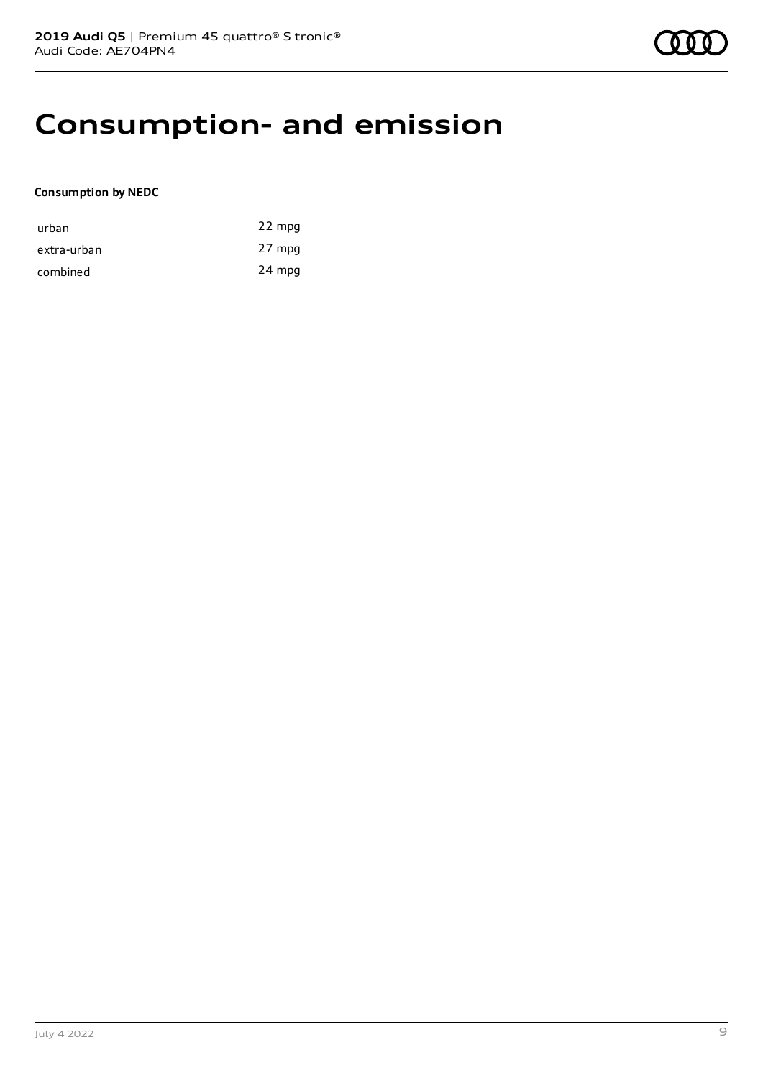## **Consumption- and emission**

## **Consumption by NEDC**

| urban       | 22 mpg |
|-------------|--------|
| extra-urban | 27 mpg |
| combined    | 24 mpg |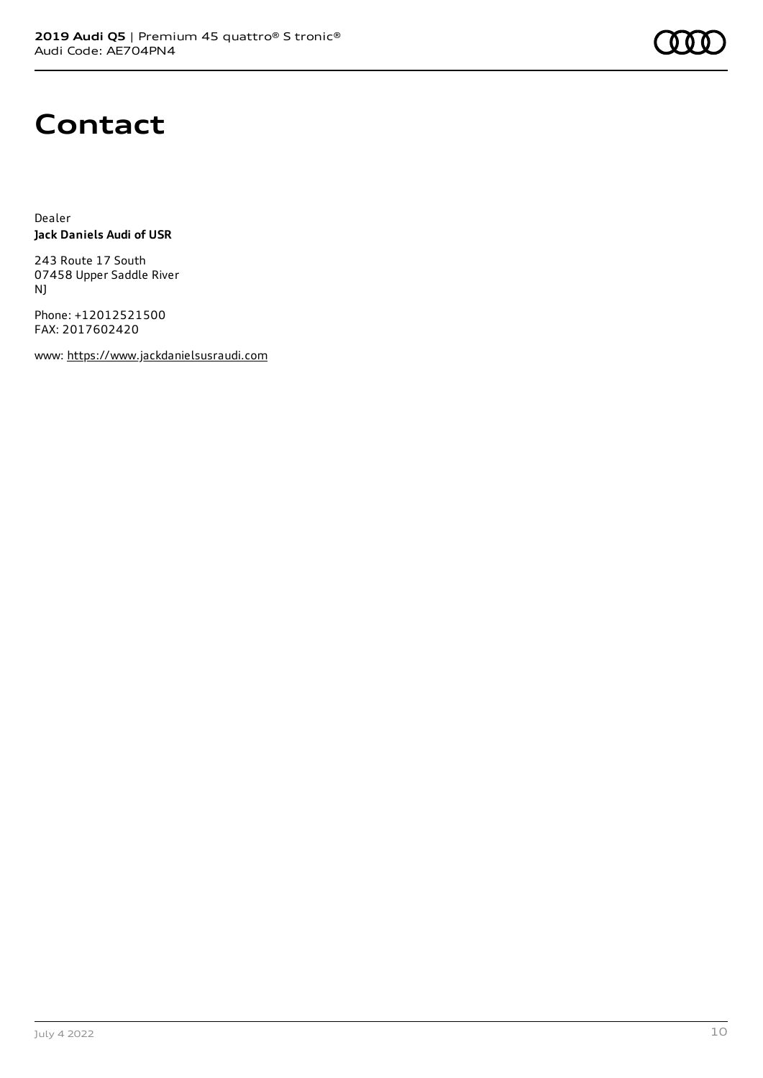

## **Contact**

Dealer **Jack Daniels Audi of USR**

243 Route 17 South 07458 Upper Saddle River NJ

Phone: +12012521500 FAX: 2017602420

www: [https://www.jackdanielsusraudi.com](https://www.jackdanielsusraudi.com/)